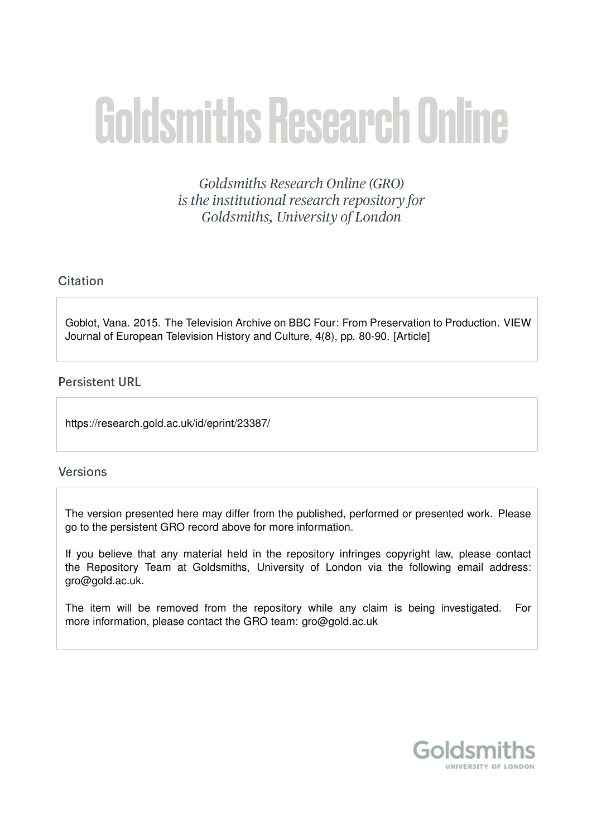# **Goldsmiths Research Online**

Goldsmiths Research Online (GRO) is the institutional research repository for Goldsmiths, University of London

### Citation

Goblot, Vana. 2015. The Television Archive on BBC Four: From Preservation to Production. VIEW Journal of European Television History and Culture, 4(8), pp. 80-90. [Article]

#### **Persistent URL**

https://research.gold.ac.uk/id/eprint/23387/

#### **Versions**

The version presented here may differ from the published, performed or presented work. Please go to the persistent GRO record above for more information.

If you believe that any material held in the repository infringes copyright law, please contact the Repository Team at Goldsmiths, University of London via the following email address: gro@gold.ac.uk.

The item will be removed from the repository while any claim is being investigated. For more information, please contact the GRO team: gro@gold.ac.uk

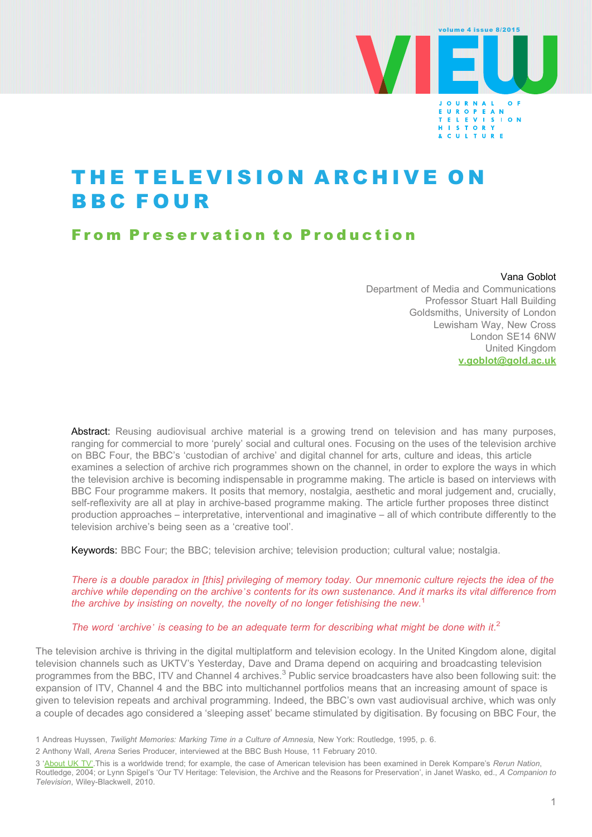

# THE TELEVISION ARCHIVE ON BBC FOUR

# From Preservation to Production

#### Vana Goblot

Department of Media and Communications Professor Stuart Hall Building Goldsmiths, University of London Lewisham Way, New Cross London SE14 6NW United Kingdom [v.goblot@gold.ac.uk](mailto:v.goblot@gold.ac.uk)

Abstract: Reusing audiovisual archive material is a growing trend on television and has many purposes, ranging for commercial to more 'purely' social and cultural ones. Focusing on the uses of the television archive on BBC Four, the BBC's 'custodian of archive' and digital channel for arts, culture and ideas, this article examines a selection of archive rich programmes shown on the channel, in order to explore the ways in which the television archive is becoming indispensable in programme making. The article is based on interviews with BBC Four programme makers. It posits that memory, nostalgia, aesthetic and moral judgement and, crucially, self-reflexivity are all at play in archive-based programme making. The article further proposes three distinct production approaches – interpretative, interventional and imaginative – all of which contribute differently to the television archive's being seen as a 'creative tool'.

Keywords: BBC Four; the BBC; television archive; television production; cultural value; nostalgia.

There is a double paradox in [this] privileging of memory today. Our mnemonic culture rejects the idea of the archive while depending on the archive's contents for its own sustenance. And it marks its vital difference from the archive by insisting on novelty, the novelty of no longer fetishising the new.<sup>1</sup>

#### The word 'archive' is ceasing to be an adequate term for describing what might be done with it.<sup>2</sup>

The television archive is thriving in the digital multiplatform and television ecology. In the United Kingdom alone, digital television channels such as UKTV's Yesterday, Dave and Drama depend on acquiring and broadcasting television programmes from the BBC, ITV and Channel 4 archives.<sup>3</sup> Public service broadcasters have also been following suit: the expansion of ITV, Channel 4 and the BBC into multichannel portfolios means that an increasing amount of space is given to television repeats and archival programming. Indeed, the BBC's own vast audiovisual archive, which was only a couple of decades ago considered a 'sleeping asset' became stimulated by digitisation. By focusing on BBC Four, the

<sup>1</sup> Andreas Huyssen, Twilight Memories: Marking Time in a Culture of Amnesia, New York: Routledge, 1995, p. 6.

<sup>2</sup> Anthony Wall, Arena Series Producer, interviewed at the BBC Bush House, 11 February 2010.

<sup>3 &#</sup>x27;About UK TV'. This is a worldwide trend; for example, the case of American television has been examined in Derek Kompare's Rerun Nation, Routledge, 2004; or Lynn Spigel's 'Our TV Heritage: Television, the Archive and the Reasons for Preservation', in Janet Wasko, ed., A Companion to Television, Wiley-Blackwell, 2010.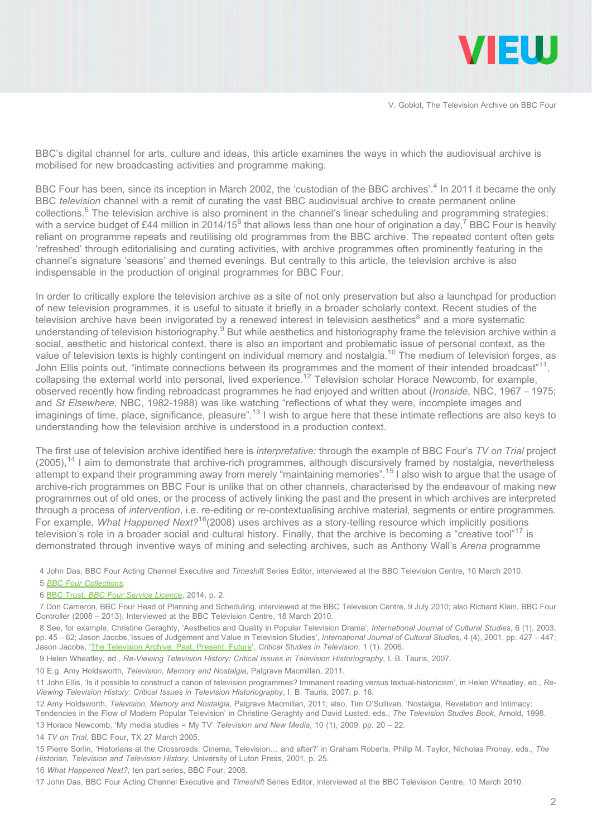

BBC's digital channel for arts, culture and ideas, this article examines the ways in which the audiovisual archive is mobilised for new broadcasting activities and programme making.

BBC Four has been, since its inception in March 2002, the 'custodian of the BBC archives'.<sup>4</sup> In 2011 it became the only BBC television channel with a remit of curating the vast BBC audiovisual archive to create permanent online collections.5 The television archive is also prominent in the channel's linear scheduling and programming strategies; with a service budget of £44 million in 2014/15<sup>6</sup> that allows less than one hour of origination a day,<sup>7</sup> BBC Four is heavily reliant on programme repeats and reutilising old programmes from the BBC archive. The repeated content often gets 'refreshed' through editorialising and curating activities, with archive programmes often prominently featuring in the channel's signature 'seasons' and themed evenings. But centrally to this article, the television archive is also indispensable in the production of original programmes for BBC Four.

In order to critically explore the television archive as a site of not only preservation but also a launchpad for production of new television programmes, it is useful to situate it briefly in a broader scholarly context. Recent studies of the television archive have been invigorated by a renewed interest in television aesthetics<sup>8</sup> and a more systematic understanding of television historiography.<sup>9</sup> But while aesthetics and historiography frame the television archive within a social, aesthetic and historical context, there is also an important and problematic issue of personal context, as the value of television texts is highly contingent on individual memory and nostalgia.<sup>10</sup> The medium of television forges, as John Ellis points out, "intimate connections between its programmes and the moment of their intended broadcast"<sup>11</sup>, collapsing the external world into personal, lived experience.<sup>12</sup> Television scholar Horace Newcomb, for example, observed recently how finding rebroadcast programmes he had enjoyed and written about (Ironside, NBC, 1967 – 1975; and St Elsewhere, NBC, 1982-1988) was like watching "reflections of what they were, incomplete images and imaginings of time, place, significance, pleasure".<sup>13</sup> I wish to argue here that these intimate reflections are also keys to understanding how the television archive is understood in a production context.

The first use of television archive identified here is interpretative: through the example of BBC Four's TV on Trial project  $(2005)$ ,<sup>14</sup> I aim to demonstrate that archive-rich programmes, although discursively framed by nostalgia, nevertheless attempt to expand their programming away from merely "maintaining memories".<sup>15</sup> I also wish to argue that the usage of archive-rich programmes on BBC Four is unlike that on other channels, characterised by the endeavour of making new programmes out of old ones, or the process of actively linking the past and the present in which archives are interpreted through a process of intervention, i.e. re-editing or re-contextualising archive material, segments or entire programmes. For example, *What Happened Next*?<sup>16</sup>(2008) uses archives as a story-telling resource which implicitly positions television's role in a broader social and cultural history. Finally, that the archive is becoming a "creative tool"<sup>17</sup> is demonstrated through inventive ways of mining and selecting archives, such as Anthony Wall's Arena programme

4 John Das, BBC Four Acting Channel Executive and Timeshift Series Editor, interviewed at the BBC Television Centre, 10 March 2010.

5 BBC Four Collections.

6 BBC Trust, BBC Four Service Licence, 2014, p. 2.

8 See, for example, Christine Geraghty, 'Aesthetics and Quality in Popular Television Drama', International Journal of Cultural Studies, 6 (1), 2003, pp. 45 - 62; Jason Jacobs, Issues of Judgement and Value in Television Studies', International Journal of Cultural Studies, 4 (4), 2001, pp. 427 - 447; Jason Jacobs, 'The Television Archive: Past, Present, Future', Critical Studies in Television, 1 (1). 2006.

9 Helen Wheatley, ed., Re-Viewing Television History: Critical Issues in Television Historiography, I. B. Tauris, 2007.

10 E.g. Amy Holdsworth, Television, Memory and Nostalgia, Palgrave Macmillan, 2011.

14 TV on Trial, BBC Four, TX 27 March 2005.

16 What Happened Next?, ten part series, BBC Four, 2008.

<sup>7</sup> Don Cameron, BBC Four Head of Planning and Scheduling, interviewed at the BBC Television Centre, 9 July 2010; also Richard Klein, BBC Four Controller (2008 – 2013), Interviewed at the BBC Television Centre, 18 March 2010.

<sup>11</sup> John Ellis, 'Is it possible to construct a canon of television programmes? Immanent reading versus textual-historicism', in Helen Wheatley, ed., Re-Viewing Television History: Critical Issues in Television Historiography, I. B. Tauris, 2007, p. 16.

<sup>12</sup> Amy Holdsworth, Television, Memory and Nostalgia, Palgrave Macmillan, 2011; also, Tim O'Sullivan, 'Nostalgia, Revelation and Intimacy:

Tendencies in the Flow of Modern Popular Television' in Christine Geraghty and David Lusted, eds., The Television Studies Book, Arnold, 1998. 13 Horace Newcomb, 'My media studies = My TV' Television and New Media, 10 (1), 2009, pp. 20 – 22.

<sup>15</sup> Pierre Sorlin, 'Historians at the Crossroads: Cinema, Television… and after?' in Graham Roberts, Philip M. Taylor, Nicholas Pronay, eds., The Historian, Television and Television History, University of Luton Press, 2001, p. 25.

<sup>17</sup> John Das, BBC Four Acting Channel Executive and Timeshift Series Editor, interviewed at the BBC Television Centre, 10 March 2010.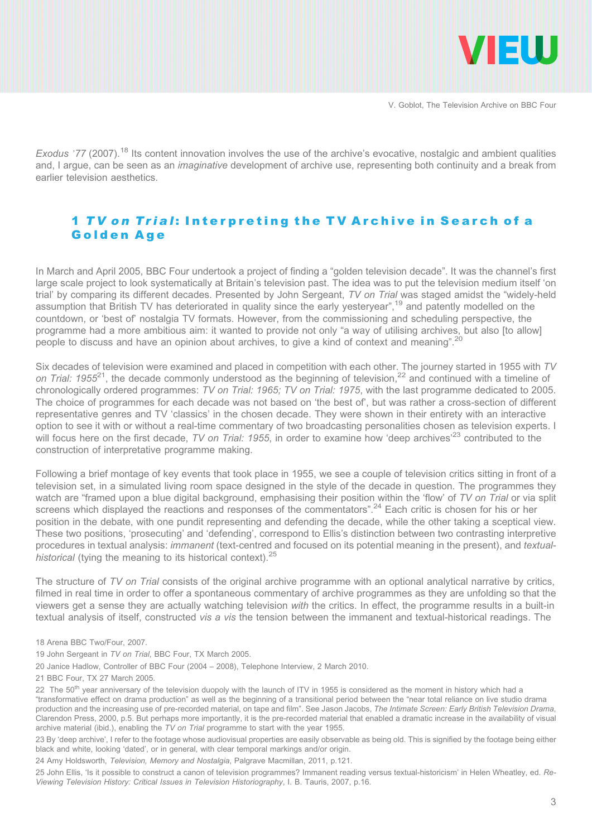

Exodus '77 (2007).<sup>18</sup> Its content innovation involves the use of the archive's evocative, nostalgic and ambient qualities and, I argue, can be seen as an imaginative development of archive use, representing both continuity and a break from earlier television aesthetics.

# 1 TV on Trial: Interpreting the TV Archive in Search of a Golden Age

In March and April 2005, BBC Four undertook a project of finding a "golden television decade". It was the channel's first large scale project to look systematically at Britain's television past. The idea was to put the television medium itself 'on trial' by comparing its different decades. Presented by John Sergeant, TV on Trial was staged amidst the "widely-held assumption that British TV has deteriorated in quality since the early yesteryear",<sup>19</sup> and patently modelled on the countdown, or 'best of' nostalgia TV formats. However, from the commissioning and scheduling perspective, the programme had a more ambitious aim: it wanted to provide not only "a way of utilising archives, but also [to allow] people to discuss and have an opinion about archives, to give a kind of context and meaning".<sup>20</sup>

Six decades of television were examined and placed in competition with each other. The journey started in 1955 with TV on Trial: 1955<sup>21</sup>, the decade commonly understood as the beginning of television.<sup>22</sup> and continued with a timeline of chronologically ordered programmes: TV on Trial: 1965; TV on Trial: 1975, with the last programme dedicated to 2005. The choice of programmes for each decade was not based on 'the best of', but was rather a cross-section of different representative genres and TV 'classics' in the chosen decade. They were shown in their entirety with an interactive option to see it with or without a real-time commentary of two broadcasting personalities chosen as television experts. I will focus here on the first decade, TV on Trial: 1955, in order to examine how 'deep archives'<sup>23</sup> contributed to the construction of interpretative programme making.

Following a brief montage of key events that took place in 1955, we see a couple of television critics sitting in front of a television set, in a simulated living room space designed in the style of the decade in question. The programmes they watch are "framed upon a blue digital background, emphasising their position within the 'flow' of TV on Trial or via split screens which displayed the reactions and responses of the commentators".<sup>24</sup> Each critic is chosen for his or her position in the debate, with one pundit representing and defending the decade, while the other taking a sceptical view. These two positions, 'prosecuting' and 'defending', correspond to Ellis's distinction between two contrasting interpretive procedures in textual analysis: *immanent* (text-centred and focused on its potential meaning in the present), and textualhistorical (tying the meaning to its historical context).<sup>25</sup>

The structure of TV on Trial consists of the original archive programme with an optional analytical narrative by critics, filmed in real time in order to offer a spontaneous commentary of archive programmes as they are unfolding so that the viewers get a sense they are actually watching television with the critics. In effect, the programme results in a built-in textual analysis of itself, constructed vis a vis the tension between the immanent and textual-historical readings. The

- 19 John Sergeant in TV on Trial, BBC Four, TX March 2005.
- 20 Janice Hadlow, Controller of BBC Four (2004 2008), Telephone Interview, 2 March 2010.
- 21 BBC Four, TX 27 March 2005.

23 By 'deep archive', I refer to the footage whose audiovisual properties are easily observable as being old. This is signified by the footage being either black and white, looking 'dated', or in general, with clear temporal markings and/or origin.

24 Amy Holdsworth, Television, Memory and Nostalgia, Palgrave Macmillan, 2011, p.121.

<sup>18</sup> Arena BBC Two/Four, 2007.

<sup>22</sup> The 50<sup>th</sup> year anniversary of the television duopoly with the launch of ITV in 1955 is considered as the moment in history which had a "transformative effect on drama production" as well as the beginning of a transitional period between the "near total reliance on live studio drama production and the increasing use of pre-recorded material, on tape and film". See Jason Jacobs, The Intimate Screen: Early British Television Drama, Clarendon Press, 2000, p.5. But perhaps more importantly, it is the pre-recorded material that enabled a dramatic increase in the availability of visual archive material (ibid.), enabling the TV on Trial programme to start with the year 1955.

<sup>25</sup> John Ellis, 'Is it possible to construct a canon of television programmes? Immanent reading versus textual-historicism' in Helen Wheatley, ed. Re-Viewing Television History: Critical Issues in Television Historiography, I. B. Tauris, 2007, p.16.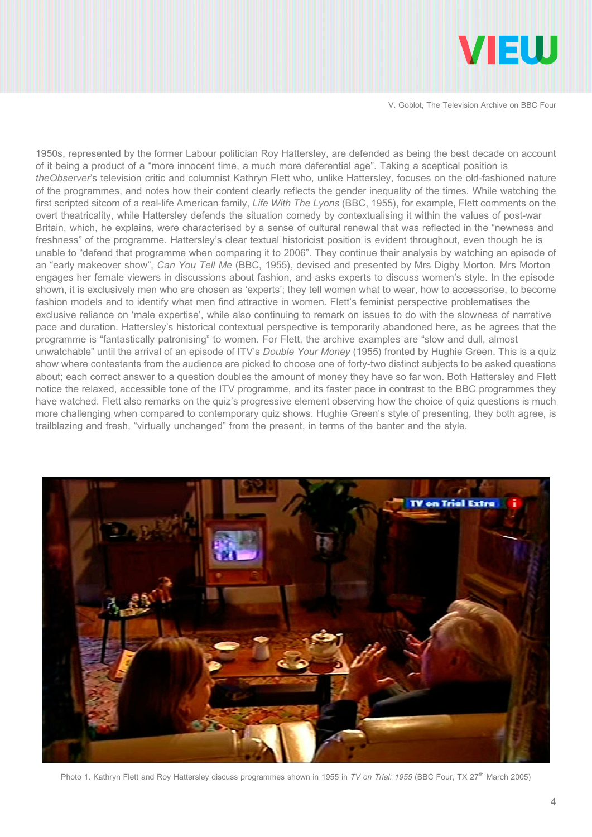

1950s, represented by the former Labour politician Roy Hattersley, are defended as being the best decade on account of it being a product of a "more innocent time, a much more deferential age". Taking a sceptical position is theObserver's television critic and columnist Kathryn Flett who, unlike Hattersley, focuses on the old-fashioned nature of the programmes, and notes how their content clearly reflects the gender inequality of the times. While watching the first scripted sitcom of a real-life American family, Life With The Lyons (BBC, 1955), for example, Flett comments on the overt theatricality, while Hattersley defends the situation comedy by contextualising it within the values of post-war Britain, which, he explains, were characterised by a sense of cultural renewal that was reflected in the "newness and freshness" of the programme. Hattersley's clear textual historicist position is evident throughout, even though he is unable to "defend that programme when comparing it to 2006". They continue their analysis by watching an episode of an "early makeover show", Can You Tell Me (BBC, 1955), devised and presented by Mrs Digby Morton. Mrs Morton engages her female viewers in discussions about fashion, and asks experts to discuss women's style. In the episode shown, it is exclusively men who are chosen as 'experts'; they tell women what to wear, how to accessorise, to become fashion models and to identify what men find attractive in women. Flett's feminist perspective problematises the exclusive reliance on 'male expertise', while also continuing to remark on issues to do with the slowness of narrative pace and duration. Hattersley's historical contextual perspective is temporarily abandoned here, as he agrees that the programme is "fantastically patronising" to women. For Flett, the archive examples are "slow and dull, almost unwatchable" until the arrival of an episode of ITV's Double Your Money (1955) fronted by Hughie Green. This is a quiz show where contestants from the audience are picked to choose one of forty-two distinct subjects to be asked questions about; each correct answer to a question doubles the amount of money they have so far won. Both Hattersley and Flett notice the relaxed, accessible tone of the ITV programme, and its faster pace in contrast to the BBC programmes they have watched. Flett also remarks on the quiz's progressive element observing how the choice of quiz questions is much more challenging when compared to contemporary quiz shows. Hughie Green's style of presenting, they both agree, is trailblazing and fresh, "virtually unchanged" from the present, in terms of the banter and the style.



Photo 1. Kathryn Flett and Roy Hattersley discuss programmes shown in 1955 in TV on Trial: 1955 (BBC Four, TX 27<sup>th</sup> March 2005)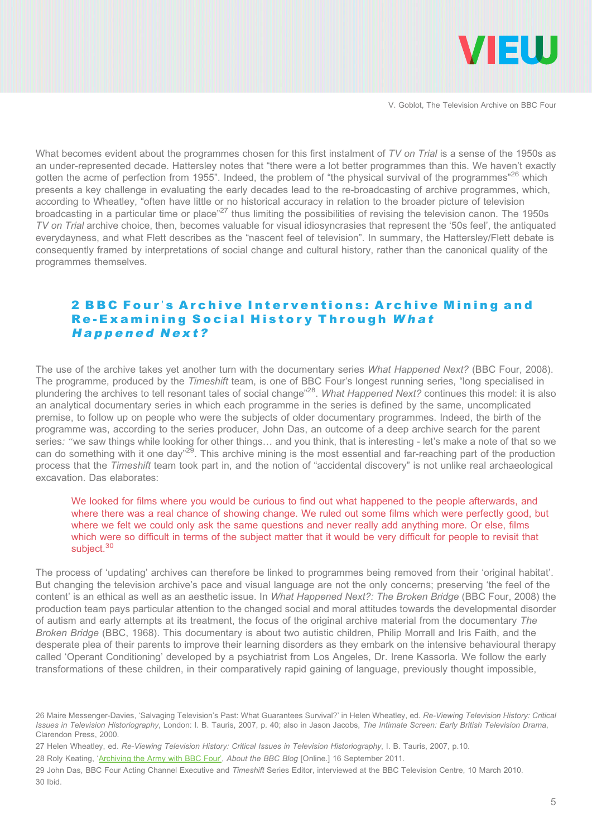

What becomes evident about the programmes chosen for this first instalment of TV on Trial is a sense of the 1950s as an under-represented decade. Hattersley notes that "there were a lot better programmes than this. We haven't exactly gotten the acme of perfection from 1955". Indeed, the problem of "the physical survival of the programmes"<sup>26</sup> which presents a key challenge in evaluating the early decades lead to the re-broadcasting of archive programmes, which, according to Wheatley, "often have little or no historical accuracy in relation to the broader picture of television broadcasting in a particular time or place"<sup>27</sup> thus limiting the possibilities of revising the television canon. The 1950s TV on Trial archive choice, then, becomes valuable for visual idiosyncrasies that represent the '50s feel', the antiquated everydayness, and what Flett describes as the "nascent feel of television". In summary, the Hattersley/Flett debate is consequently framed by interpretations of social change and cultural history, rather than the canonical quality of the programmes themselves.

#### 2 BBC Four's Archive Interventions: Archive Mining and Re-Examining Social History Through What Happened Next?

The use of the archive takes yet another turn with the documentary series What Happened Next? (BBC Four, 2008). The programme, produced by the Timeshift team, is one of BBC Four's longest running series, "long specialised in plundering the archives to tell resonant tales of social change"<sup>28</sup>. What Happened Next? continues this model: it is also an analytical documentary series in which each programme in the series is defined by the same, uncomplicated premise, to follow up on people who were the subjects of older documentary programmes. Indeed, the birth of the programme was, according to the series producer, John Das, an outcome of a deep archive search for the parent series: "we saw things while looking for other things… and you think, that is interesting - let's make a note of that so we can do something with it one day"<sup>29</sup>. This archive mining is the most essential and far-reaching part of the production process that the Timeshift team took part in, and the notion of "accidental discovery" is not unlike real archaeological excavation. Das elaborates:

#### We looked for films where you would be curious to find out what happened to the people afterwards, and where there was a real chance of showing change. We ruled out some films which were perfectly good, but where we felt we could only ask the same questions and never really add anything more. Or else, films which were so difficult in terms of the subject matter that it would be very difficult for people to revisit that subject.<sup>30</sup>

The process of 'updating' archives can therefore be linked to programmes being removed from their 'original habitat'. But changing the television archive's pace and visual language are not the only concerns; preserving 'the feel of the content' is an ethical as well as an aesthetic issue. In What Happened Next?: The Broken Bridge (BBC Four, 2008) the production team pays particular attention to the changed social and moral attitudes towards the developmental disorder of autism and early attempts at its treatment, the focus of the original archive material from the documentary The Broken Bridge (BBC, 1968). This documentary is about two autistic children, Philip Morrall and Iris Faith, and the desperate plea of their parents to improve their learning disorders as they embark on the intensive behavioural therapy called 'Operant Conditioning' developed by a psychiatrist from Los Angeles, Dr. Irene Kassorla. We follow the early transformations of these children, in their comparatively rapid gaining of language, previously thought impossible,

<sup>26</sup> Maire Messenger-Davies, 'Salvaging Television's Past: What Guarantees Survival?' in Helen Wheatley, ed. Re-Viewing Television History: Critical Issues in Television Historiography, London: I. B. Tauris, 2007, p. 40; also in Jason Jacobs, The Intimate Screen: Early British Television Drama, Clarendon Press, 2000.

<sup>27</sup> Helen Wheatley, ed. Re-Viewing Television History: Critical Issues in Television Historiography, I. B. Tauris, 2007, p.10.

<sup>28</sup> Roly Keating, 'Archiving the Army with BBC Four', About the BBC Blog [Online.] 16 September 2011.

<sup>29</sup> John Das, BBC Four Acting Channel Executive and Timeshift Series Editor, interviewed at the BBC Television Centre, 10 March 2010. 30 Ibid.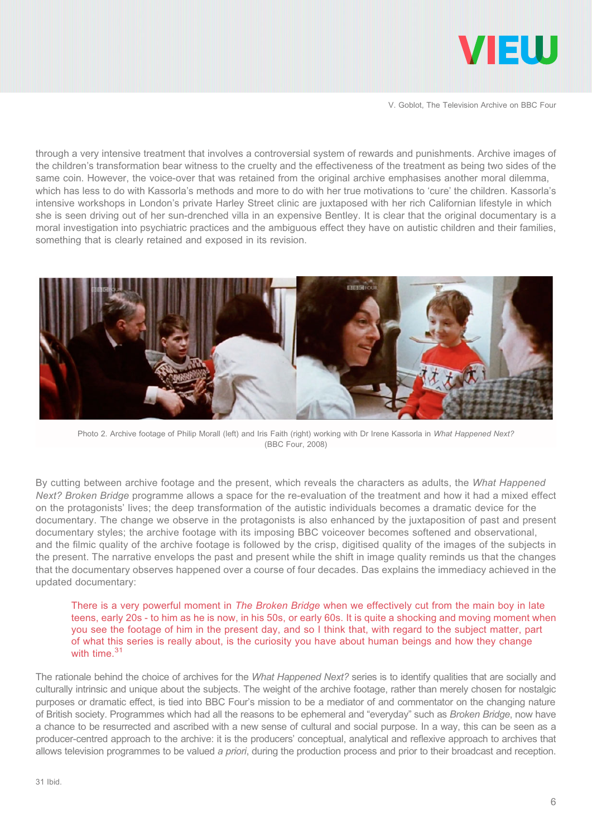

through a very intensive treatment that involves a controversial system of rewards and punishments. Archive images of the children's transformation bear witness to the cruelty and the effectiveness of the treatment as being two sides of the same coin. However, the voice-over that was retained from the original archive emphasises another moral dilemma, which has less to do with Kassorla's methods and more to do with her true motivations to 'cure' the children. Kassorla's intensive workshops in London's private Harley Street clinic are juxtaposed with her rich Californian lifestyle in which she is seen driving out of her sun-drenched villa in an expensive Bentley. It is clear that the original documentary is a moral investigation into psychiatric practices and the ambiguous effect they have on autistic children and their families, something that is clearly retained and exposed in its revision.



Photo 2. Archive footage of Philip Morall (left) and Iris Faith (right) working with Dr Irene Kassorla in What Happened Next? (BBC Four, 2008)

By cutting between archive footage and the present, which reveals the characters as adults, the What Happened Next? Broken Bridge programme allows a space for the re-evaluation of the treatment and how it had a mixed effect on the protagonists' lives; the deep transformation of the autistic individuals becomes a dramatic device for the documentary. The change we observe in the protagonists is also enhanced by the juxtaposition of past and present documentary styles; the archive footage with its imposing BBC voiceover becomes softened and observational, and the filmic quality of the archive footage is followed by the crisp, digitised quality of the images of the subjects in the present. The narrative envelops the past and present while the shift in image quality reminds us that the changes that the documentary observes happened over a course of four decades. Das explains the immediacy achieved in the updated documentary:

There is a very powerful moment in The Broken Bridge when we effectively cut from the main boy in late teens, early 20s - to him as he is now, in his 50s, or early 60s. It is quite a shocking and moving moment when you see the footage of him in the present day, and so I think that, with regard to the subject matter, part of what this series is really about, is the curiosity you have about human beings and how they change with time.<sup>31</sup>

The rationale behind the choice of archives for the What Happened Next? series is to identify qualities that are socially and culturally intrinsic and unique about the subjects. The weight of the archive footage, rather than merely chosen for nostalgic purposes or dramatic effect, is tied into BBC Four's mission to be a mediator of and commentator on the changing nature of British society. Programmes which had all the reasons to be ephemeral and "everyday" such as Broken Bridge, now have a chance to be resurrected and ascribed with a new sense of cultural and social purpose. In a way, this can be seen as a producer-centred approach to the archive: it is the producers' conceptual, analytical and reflexive approach to archives that allows television programmes to be valued a priori, during the production process and prior to their broadcast and reception.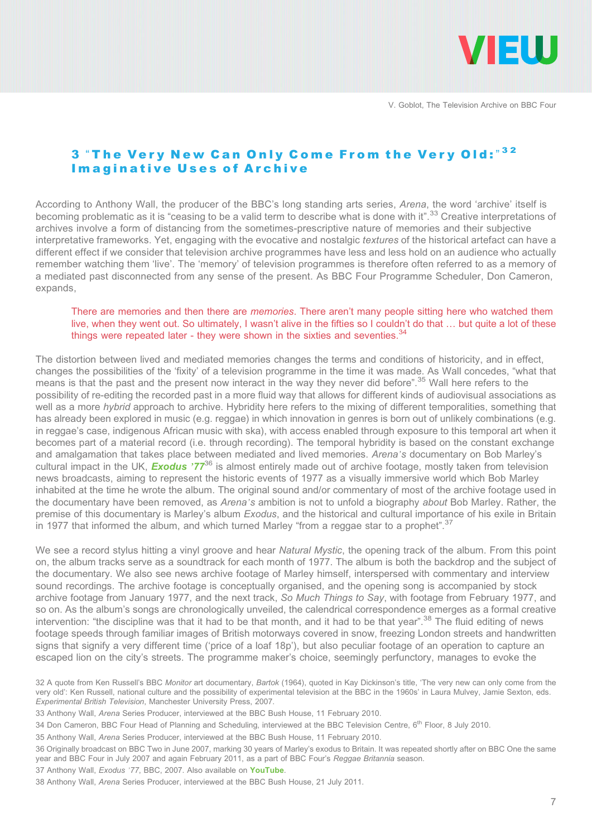

# 3 "The Very New Can Only Come From the Very Old:"32 Imaginative Uses of Archive

According to Anthony Wall, the producer of the BBC's long standing arts series, Arena, the word 'archive' itself is becoming problematic as it is "ceasing to be a valid term to describe what is done with it".<sup>33</sup> Creative interpretations of archives involve a form of distancing from the sometimes-prescriptive nature of memories and their subjective interpretative frameworks. Yet, engaging with the evocative and nostalgic textures of the historical artefact can have a different effect if we consider that television archive programmes have less and less hold on an audience who actually remember watching them 'live'. The 'memory' of television programmes is therefore often referred to as a memory of a mediated past disconnected from any sense of the present. As BBC Four Programme Scheduler, Don Cameron, expands,

#### There are memories and then there are *memories*. There aren't many people sitting here who watched them live, when they went out. So ultimately, I wasn't alive in the fifties so I couldn't do that … but quite a lot of these things were repeated later - they were shown in the sixties and seventies. $34$

The distortion between lived and mediated memories changes the terms and conditions of historicity, and in effect, changes the possibilities of the 'fixity' of a television programme in the time it was made. As Wall concedes, "what that means is that the past and the present now interact in the way they never did before".<sup>35</sup> Wall here refers to the possibility of re-editing the recorded past in a more fluid way that allows for different kinds of audiovisual associations as well as a more hybrid approach to archive. Hybridity here refers to the mixing of different temporalities, something that has already been explored in music (e.g. reggae) in which innovation in genres is born out of unlikely combinations (e.g. in reggae's case, indigenous African music with ska), with access enabled through exposure to this temporal art when it becomes part of a material record (i.e. through recording). The temporal hybridity is based on the constant exchange and amalgamation that takes place between mediated and lived memories. Arena's documentary on Bob Marley's cultural impact in the UK, **[Exodus](https://www.youtube.com/watch?v=_q39YHQm2jg) '77<sup>36</sup>** is almost entirely made out of archive footage, mostly taken from television news broadcasts, aiming to represent the historic events of 1977 as a visually immersive world which Bob Marley inhabited at the time he wrote the album. The original sound and/or commentary of most of the archive footage used in the documentary have been removed, as *Arena's* ambition is not to unfold a biography *about* Bob Marley. Rather, the premise of this documentary is Marley's album Exodus, and the historical and cultural importance of his exile in Britain in 1977 that informed the album, and which turned Marley "from a reggae star to a prophet".<sup>37</sup>

We see a record stylus hitting a vinyl groove and hear Natural Mystic, the opening track of the album. From this point on, the album tracks serve as a soundtrack for each month of 1977. The album is both the backdrop and the subject of the documentary. We also see news archive footage of Marley himself, interspersed with commentary and interview sound recordings. The archive footage is conceptually organised, and the opening song is accompanied by stock archive footage from January 1977, and the next track, So Much Things to Say, with footage from February 1977, and so on. As the album's songs are chronologically unveiled, the calendrical correspondence emerges as a formal creative intervention: "the discipline was that it had to be that month, and it had to be that year".<sup>38</sup> The fluid editing of news footage speeds through familiar images of British motorways covered in snow, freezing London streets and handwritten signs that signify a very different time ('price of a loaf 18p'), but also peculiar footage of an operation to capture an escaped lion on the city's streets. The programme maker's choice, seemingly perfunctory, manages to evoke the

- 34 Don Cameron, BBC Four Head of Planning and Scheduling, interviewed at the BBC Television Centre, 6<sup>th</sup> Floor, 8 July 2010.
- 35 Anthony Wall, Arena Series Producer, interviewed at the BBC Bush House, 11 February 2010.

37 Anthony Wall, Exodus '77, BBC, 2007, Also available on [YouTube](https://www.youtube.com/watch?v=_q39YHQm2jg).

<sup>32</sup> A quote from Ken Russell's BBC Monitor art documentary, Bartok (1964), quoted in Kay Dickinson's title, 'The very new can only come from the very old': Ken Russell, national culture and the possibility of experimental television at the BBC in the 1960s' in Laura Mulvey, Jamie Sexton, eds. Experimental British Television, Manchester University Press, 2007.

<sup>33</sup> Anthony Wall, Arena Series Producer, interviewed at the BBC Bush House, 11 February 2010.

<sup>36</sup> Originally broadcast on BBC Two in June 2007, marking 30 years of Marley's exodus to Britain. It was repeated shortly after on BBC One the same year and BBC Four in July 2007 and again February 2011, as a part of BBC Four's Reggae Britannia season.

<sup>38</sup> Anthony Wall, Arena Series Producer, interviewed at the BBC Bush House, 21 July 2011.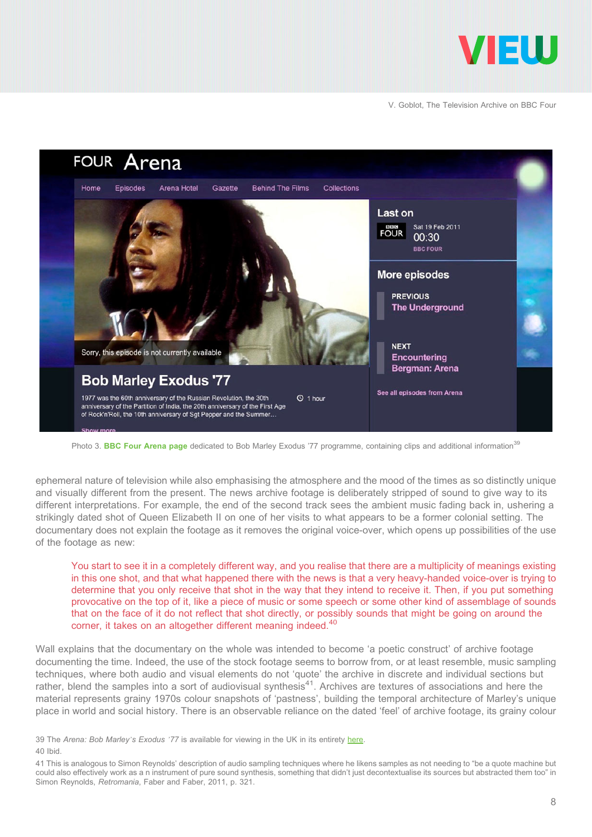



Photo 3. [BBC Four Arena page](http://www.bbc.co.uk/programmes/b007np3m) dedicated to Bob Marley Exodus '77 programme, containing clips and additional information<sup>39</sup>

ephemeral nature of television while also emphasising the atmosphere and the mood of the times as so distinctly unique and visually different from the present. The news archive footage is deliberately stripped of sound to give way to its different interpretations. For example, the end of the second track sees the ambient music fading back in, ushering a strikingly dated shot of Queen Elizabeth II on one of her visits to what appears to be a former colonial setting. The documentary does not explain the footage as it removes the original voice-over, which opens up possibilities of the use of the footage as new:

You start to see it in a completely different way, and you realise that there are a multiplicity of meanings existing in this one shot, and that what happened there with the news is that a very heavy-handed voice-over is trying to determine that you only receive that shot in the way that they intend to receive it. Then, if you put something provocative on the top of it, like a piece of music or some speech or some other kind of assemblage of sounds that on the face of it do not reflect that shot directly, or possibly sounds that might be going on around the corner, it takes on an altogether different meaning indeed.<sup>40</sup>

Wall explains that the documentary on the whole was intended to become 'a poetic construct' of archive footage documenting the time. Indeed, the use of the stock footage seems to borrow from, or at least resemble, music sampling techniques, where both audio and visual elements do not 'quote' the archive in discrete and individual sections but rather, blend the samples into a sort of audiovisual synthesis<sup>41</sup>. Archives are textures of associations and here the material represents grainy 1970s colour snapshots of 'pastness', building the temporal architecture of Marley's unique place in world and social history. There is an observable reliance on the dated 'feel' of archive footage, its grainy colour

<sup>39</sup> The Arena: Bob Marley's Exodus '77 is available for viewing in the UK in its entirety here. 40 Ibid.

<sup>41</sup> This is analogous to Simon Reynolds' description of audio sampling techniques where he likens samples as not needing to "be a quote machine but could also effectively work as a n instrument of pure sound synthesis, something that didn't just decontextualise its sources but abstracted them too" in Simon Reynolds, Retromania, Faber and Faber, 2011, p. 321.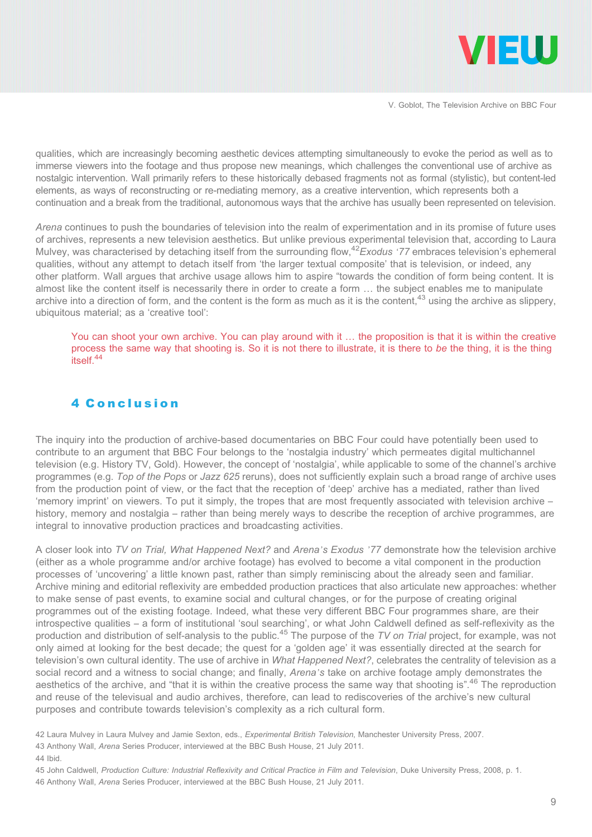

qualities, which are increasingly becoming aesthetic devices attempting simultaneously to evoke the period as well as to immerse viewers into the footage and thus propose new meanings, which challenges the conventional use of archive as nostalgic intervention. Wall primarily refers to these historically debased fragments not as formal (stylistic), but content-led elements, as ways of reconstructing or re-mediating memory, as a creative intervention, which represents both a continuation and a break from the traditional, autonomous ways that the archive has usually been represented on television.

Arena continues to push the boundaries of television into the realm of experimentation and in its promise of future uses of archives, represents a new television aesthetics. But unlike previous experimental television that, according to Laura Mulvey, was characterised by detaching itself from the surrounding flow,<sup>42</sup>Exodus '77 embraces television's ephemeral qualities, without any attempt to detach itself from 'the larger textual composite' that is television, or indeed, any other platform. Wall argues that archive usage allows him to aspire "towards the condition of form being content. It is almost like the content itself is necessarily there in order to create a form … the subject enables me to manipulate archive into a direction of form, and the content is the form as much as it is the content,<sup>43</sup> using the archive as slippery, ubiquitous material; as a 'creative tool':

You can shoot your own archive. You can play around with it … the proposition is that it is within the creative process the same way that shooting is. So it is not there to illustrate, it is there to be the thing, it is the thing itself.44

#### 4 Conclusion

The inquiry into the production of archive-based documentaries on BBC Four could have potentially been used to contribute to an argument that BBC Four belongs to the 'nostalgia industry' which permeates digital multichannel television (e.g. History TV, Gold). However, the concept of 'nostalgia', while applicable to some of the channel's archive programmes (e.g. Top of the Pops or Jazz 625 reruns), does not sufficiently explain such a broad range of archive uses from the production point of view, or the fact that the reception of 'deep' archive has a mediated, rather than lived 'memory imprint' on viewers. To put it simply, the tropes that are most frequently associated with television archive – history, memory and nostalgia – rather than being merely ways to describe the reception of archive programmes, are integral to innovative production practices and broadcasting activities.

A closer look into TV on Trial, What Happened Next? and Arena's Exodus '77 demonstrate how the television archive (either as a whole programme and/or archive footage) has evolved to become a vital component in the production processes of 'uncovering' a little known past, rather than simply reminiscing about the already seen and familiar. Archive mining and editorial reflexivity are embedded production practices that also articulate new approaches: whether to make sense of past events, to examine social and cultural changes, or for the purpose of creating original programmes out of the existing footage. Indeed, what these very different BBC Four programmes share, are their introspective qualities – a form of institutional 'soul searching', or what John Caldwell defined as self-reflexivity as the production and distribution of self-analysis to the public.<sup>45</sup> The purpose of the TV on Trial project, for example, was not only aimed at looking for the best decade; the quest for a 'golden age' it was essentially directed at the search for television's own cultural identity. The use of archive in What Happened Next?, celebrates the centrality of television as a social record and a witness to social change; and finally, Arena's take on archive footage amply demonstrates the aesthetics of the archive, and "that it is within the creative process the same way that shooting is".<sup>46</sup> The reproduction and reuse of the televisual and audio archives, therefore, can lead to rediscoveries of the archive's new cultural purposes and contribute towards television's complexity as a rich cultural form.

<sup>42</sup> Laura Mulvey in Laura Mulvey and Jamie Sexton, eds., Experimental British Television, Manchester University Press, 2007.

<sup>43</sup> Anthony Wall, Arena Series Producer, interviewed at the BBC Bush House, 21 July 2011.

<sup>44</sup> Ibid.

<sup>45</sup> John Caldwell, Production Culture: Industrial Reflexivity and Critical Practice in Film and Television, Duke University Press, 2008, p. 1.

<sup>46</sup> Anthony Wall, Arena Series Producer, interviewed at the BBC Bush House, 21 July 2011.